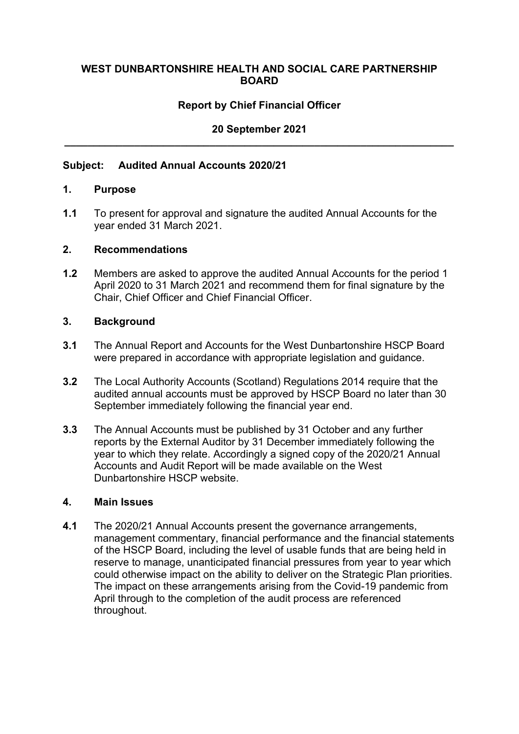### **WEST DUNBARTONSHIRE HEALTH AND SOCIAL CARE PARTNERSHIP BOARD**

# **Report by Chief Financial Officer**

# **20 September 2021 \_\_\_\_\_\_\_\_\_\_\_\_\_\_\_\_\_\_\_\_\_\_\_\_\_\_\_\_\_\_\_\_\_\_\_\_\_\_\_\_\_\_\_\_\_\_\_\_\_\_\_\_\_\_\_\_\_\_\_\_\_\_\_\_\_\_\_**

#### **Subject: Audited Annual Accounts 2020/21**

#### **1. Purpose**

**1.1** To present for approval and signature the audited Annual Accounts for the year ended 31 March 2021.

### **2. Recommendations**

**1.2** Members are asked to approve the audited Annual Accounts for the period 1 April 2020 to 31 March 2021 and recommend them for final signature by the Chair, Chief Officer and Chief Financial Officer.

#### **3. Background**

- **3.1** The Annual Report and Accounts for the West Dunbartonshire HSCP Board were prepared in accordance with appropriate legislation and guidance.
- **3.2** The Local Authority Accounts (Scotland) Regulations 2014 require that the audited annual accounts must be approved by HSCP Board no later than 30 September immediately following the financial year end.
- **3.3** The Annual Accounts must be published by 31 October and any further reports by the External Auditor by 31 December immediately following the year to which they relate. Accordingly a signed copy of the 2020/21 Annual Accounts and Audit Report will be made available on the West Dunbartonshire HSCP website.

#### **4. Main Issues**

**4.1** The 2020/21 Annual Accounts present the governance arrangements, management commentary, financial performance and the financial statements of the HSCP Board, including the level of usable funds that are being held in reserve to manage, unanticipated financial pressures from year to year which could otherwise impact on the ability to deliver on the Strategic Plan priorities. The impact on these arrangements arising from the Covid-19 pandemic from April through to the completion of the audit process are referenced throughout.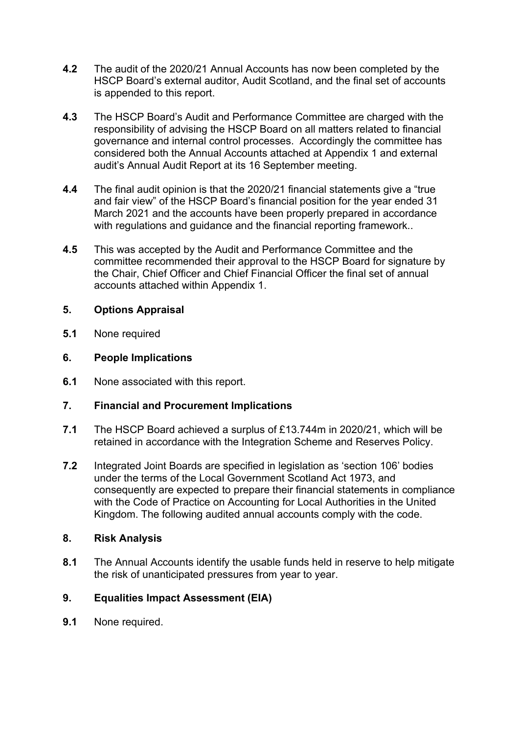- **4.2** The audit of the 2020/21 Annual Accounts has now been completed by the HSCP Board's external auditor, Audit Scotland, and the final set of accounts is appended to this report.
- **4.3** The HSCP Board's Audit and Performance Committee are charged with the responsibility of advising the HSCP Board on all matters related to financial governance and internal control processes. Accordingly the committee has considered both the Annual Accounts attached at Appendix 1 and external audit's Annual Audit Report at its 16 September meeting.
- **4.4** The final audit opinion is that the 2020/21 financial statements give a "true and fair view" of the HSCP Board's financial position for the year ended 31 March 2021 and the accounts have been properly prepared in accordance with regulations and guidance and the financial reporting framework..
- **4.5** This was accepted by the Audit and Performance Committee and the committee recommended their approval to the HSCP Board for signature by the Chair, Chief Officer and Chief Financial Officer the final set of annual accounts attached within Appendix 1.

## **5. Options Appraisal**

**5.1** None required

## **6. People Implications**

**6.1** None associated with this report.

# **7. Financial and Procurement Implications**

- **7.1** The HSCP Board achieved a surplus of £13.744m in 2020/21, which will be retained in accordance with the Integration Scheme and Reserves Policy.
- **7.2** Integrated Joint Boards are specified in legislation as 'section 106' bodies under the terms of the Local Government Scotland Act 1973, and consequently are expected to prepare their financial statements in compliance with the Code of Practice on Accounting for Local Authorities in the United Kingdom. The following audited annual accounts comply with the code.

### **8. Risk Analysis**

**8.1** The Annual Accounts identify the usable funds held in reserve to help mitigate the risk of unanticipated pressures from year to year.

# **9. Equalities Impact Assessment (EIA)**

**9.1** None required.